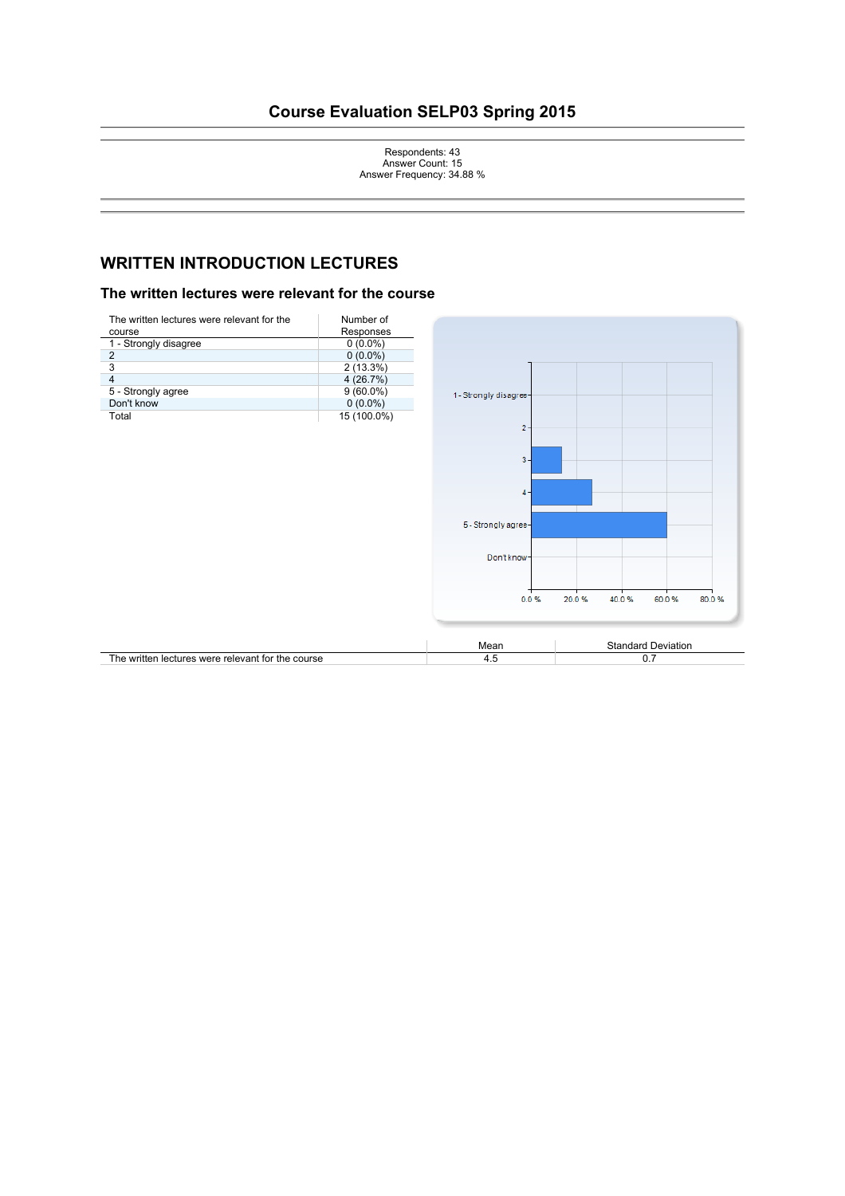# **Course Evaluation SELP03 Spring 2015**

Respondents: 43 Answer Count: 15 Answer Frequency: 34.88 %

# **WRITTEN INTRODUCTION LECTURES**

#### The written lectures were relevant for the course

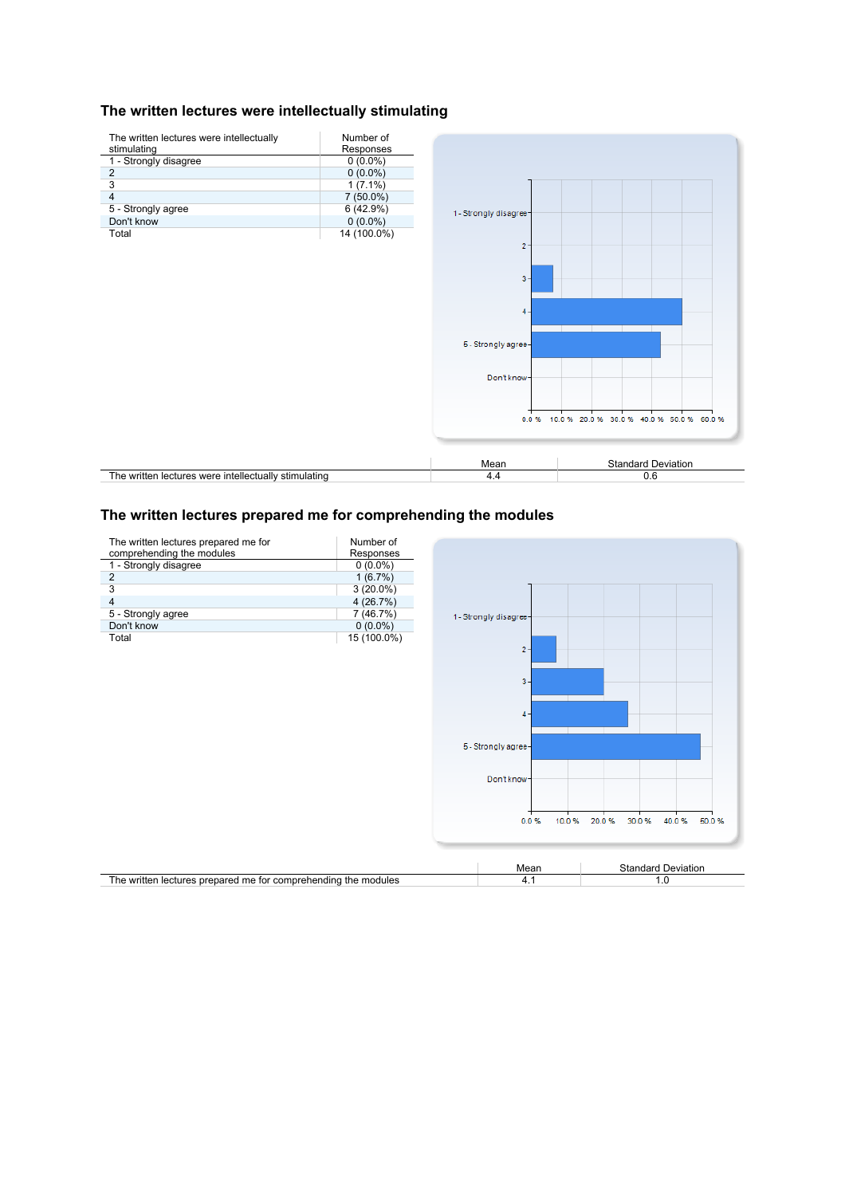#### **The written lectures were intellectually stimulating**



### The written lectures prepared me for comprehending the modules

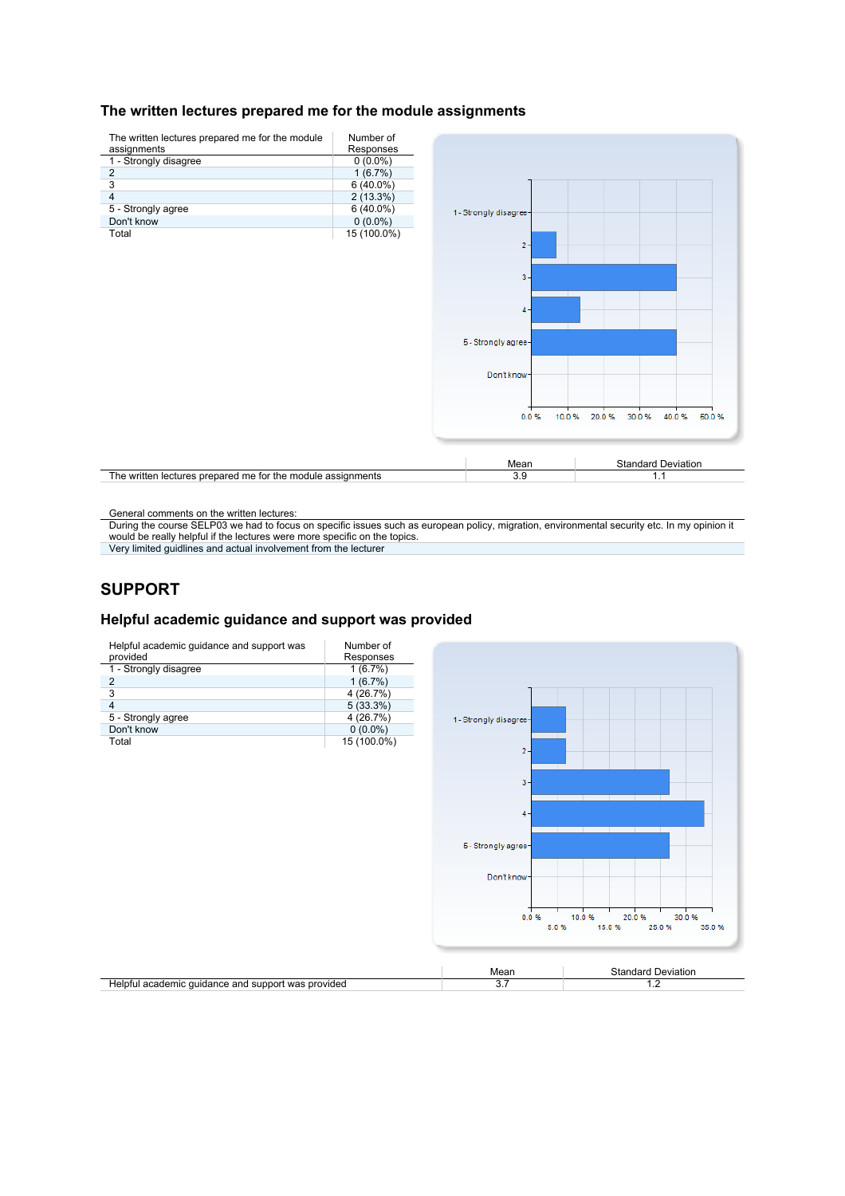#### **The written lectures prepared me for the module assignments**



General comments on the written lectures:

During the course SELP03 we had to focus on specific issues such as european policy, migration, environmental security etc. In my opinion it would be really helpful if the lectures were more specific on the topics.

Very limited guidlines and actual involvement from the lecturer

# **SUPPORT**

### **Helpful academic guidance and support was provided**

| Helpful academic guidance and support was provided |                           | 3.7                    | 1.2                                                        |
|----------------------------------------------------|---------------------------|------------------------|------------------------------------------------------------|
|                                                    |                           | Mean                   | <b>Standard Deviation</b>                                  |
|                                                    |                           |                        |                                                            |
|                                                    |                           | 0.0 %                  | 10.0%<br>20.0%<br>30.0%<br>5.0%<br>15.0%<br>25.0%<br>35.0% |
|                                                    |                           |                        |                                                            |
|                                                    |                           | Don't know-            |                                                            |
|                                                    |                           |                        |                                                            |
|                                                    |                           | 5 - Strongly agree-    |                                                            |
|                                                    |                           |                        |                                                            |
|                                                    |                           | $4 -$                  |                                                            |
|                                                    |                           | $3 -$                  |                                                            |
|                                                    |                           |                        |                                                            |
|                                                    |                           | $2 -$                  |                                                            |
| Don't know<br>Total                                | $0(0.0\%)$<br>15 (100.0%) |                        |                                                            |
| 5 - Strongly agree                                 | 4 (26.7%)                 | 1 - Strongly disagree- |                                                            |
| $\overline{4}$                                     | 5(33.3%)                  |                        |                                                            |
| $\overline{3}$                                     | 4 (26.7%)                 |                        |                                                            |
| 1 - Strongly disagree<br>$\overline{2}$            | 1(6.7%)<br>1(6.7%)        |                        |                                                            |
| provided                                           | Responses                 |                        |                                                            |
| Helpful academic guidance and support was          | Number of                 |                        |                                                            |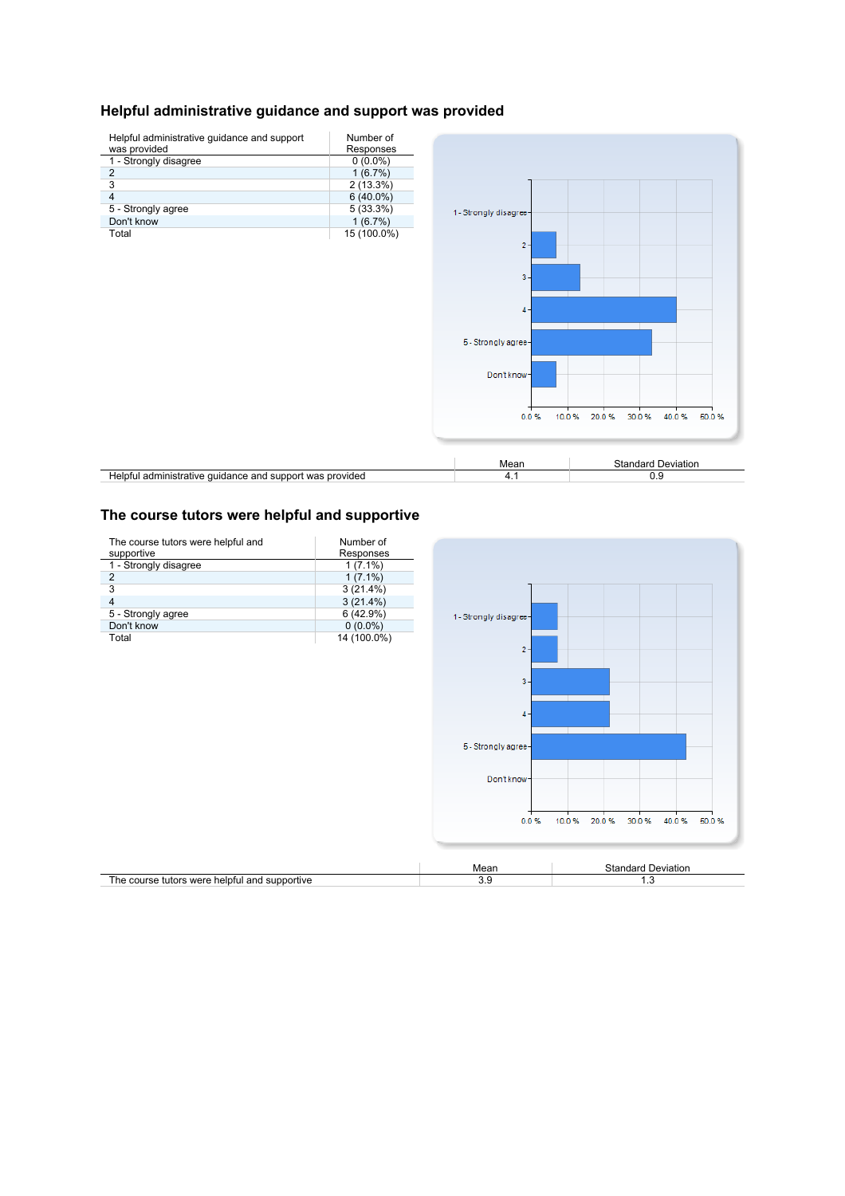# **Helpful administrative guidance and support was provided**



#### The course tutors were helpful and supportive

| The course tutors were helpful and<br>supportive | Number of<br>Responses |                        |                                           |
|--------------------------------------------------|------------------------|------------------------|-------------------------------------------|
| 1 - Strongly disagree                            | $1(7.1\%)$             |                        |                                           |
| $\overline{\mathbf{c}}$                          | $1(7.1\%)$             |                        |                                           |
| 3                                                | 3(21.4%)               |                        |                                           |
| $\overline{\mathbf{4}}$                          | 3(21.4%)               |                        |                                           |
| 5 - Strongly agree                               | 6(42.9%)               | 1 - Strongly disagree- |                                           |
| Don't know                                       | $0(0.0\%)$             |                        |                                           |
| Total                                            | 14 (100.0%)            |                        |                                           |
|                                                  |                        | $2 -$                  |                                           |
|                                                  |                        |                        |                                           |
|                                                  |                        |                        |                                           |
|                                                  |                        | $3 -$                  |                                           |
|                                                  |                        |                        |                                           |
|                                                  |                        | $4 -$                  |                                           |
|                                                  |                        |                        |                                           |
|                                                  |                        |                        |                                           |
|                                                  |                        | 5 - Strongly agree-    |                                           |
|                                                  |                        |                        |                                           |
|                                                  |                        | Don't know-            |                                           |
|                                                  |                        |                        |                                           |
|                                                  |                        |                        |                                           |
|                                                  |                        |                        |                                           |
|                                                  |                        | 0.0%                   | 10.0%<br>20.0%<br>30.0%<br>40.0%<br>50.0% |
|                                                  |                        |                        |                                           |
|                                                  |                        |                        |                                           |
|                                                  |                        | Mean                   | <b>Standard Deviation</b>                 |
| The course tutors were helpful and supportive    |                        | 3.9                    | 1.3                                       |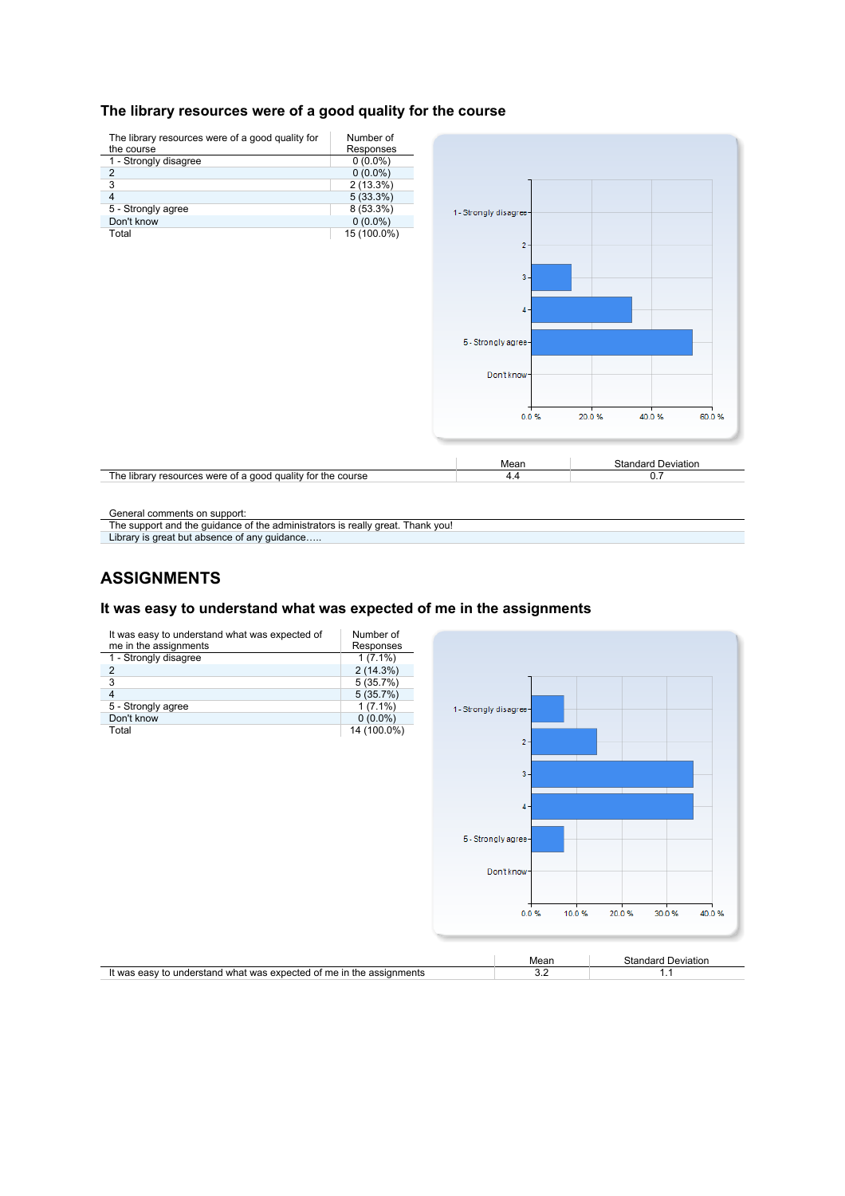### The library resources were of a good quality for the course



General comments on support:

The support and the guidance of the administrators is really great. Thank you!

Library is great but absence of any guidance...

## **ASSIGNMENTS**

#### **It was easy to understand what was expected of me in the assignments**

| It was easy to understand what was expected of<br>me in the assignments | Number of<br>Responses |                        |                     |                           |
|-------------------------------------------------------------------------|------------------------|------------------------|---------------------|---------------------------|
| 1 - Strongly disagree                                                   | $1(7.1\%)$             |                        |                     |                           |
| 2                                                                       | 2(14.3%)               |                        |                     |                           |
| 3                                                                       | 5(35.7%)               |                        |                     |                           |
| $\overline{4}$                                                          | 5(35.7%)               |                        |                     |                           |
| 5 - Strongly agree                                                      | $1(7.1\%)$             | 1 - Strongly disagree- |                     |                           |
| Don't know                                                              | $0(0.0\%)$             |                        |                     |                           |
| Total                                                                   | 14 (100.0%)            |                        |                     |                           |
|                                                                         |                        |                        | $2 -$               |                           |
|                                                                         |                        |                        |                     |                           |
|                                                                         |                        |                        |                     |                           |
|                                                                         |                        |                        | $3 -$               |                           |
|                                                                         |                        |                        |                     |                           |
|                                                                         |                        |                        | $4 -$               |                           |
|                                                                         |                        |                        |                     |                           |
|                                                                         |                        |                        |                     |                           |
|                                                                         |                        |                        | 5 - Strongly agree- |                           |
|                                                                         |                        |                        |                     |                           |
|                                                                         |                        |                        | Don't know-         |                           |
|                                                                         |                        |                        |                     |                           |
|                                                                         |                        |                        |                     |                           |
|                                                                         |                        |                        |                     |                           |
|                                                                         |                        |                        | 0.0%<br>10.0%       | 20.0%<br>30.0%<br>40.0%   |
|                                                                         |                        |                        |                     |                           |
|                                                                         |                        |                        |                     |                           |
|                                                                         |                        |                        | Mean                | <b>Standard Deviation</b> |
| It was easy to understand what was expected of me in the assignments    |                        |                        | 3.2                 | 1.1                       |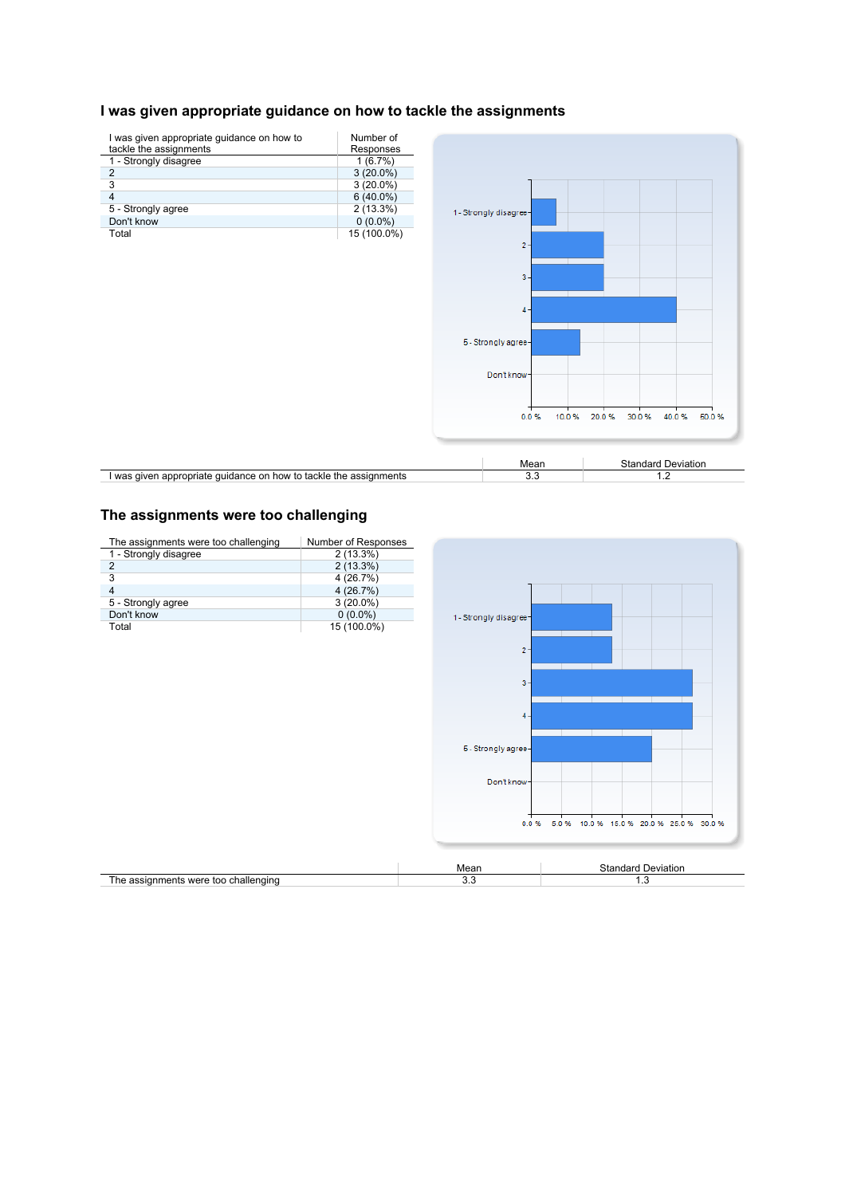# **I was given appropriate guidance on how to tackle the assignments**

| I was given appropriate guidance on how to                        | Number of   |                        |                                           |
|-------------------------------------------------------------------|-------------|------------------------|-------------------------------------------|
| tackle the assignments                                            | Responses   |                        |                                           |
| 1 - Strongly disagree                                             | 1(6.7%)     |                        |                                           |
| $\overline{\mathbf{c}}$                                           | $3(20.0\%)$ |                        |                                           |
| 3                                                                 | $3(20.0\%)$ |                        |                                           |
| 4                                                                 | $6(40.0\%)$ |                        |                                           |
| 5 - Strongly agree                                                | 2(13.3%)    | 1 - Strongly disagree- |                                           |
| Don't know                                                        | $0(0.0\%)$  |                        |                                           |
| Total                                                             | 15 (100.0%) |                        |                                           |
|                                                                   |             | $2 -$                  |                                           |
|                                                                   |             |                        |                                           |
|                                                                   |             | $3 -$                  |                                           |
|                                                                   |             |                        |                                           |
|                                                                   |             |                        |                                           |
|                                                                   |             | $4 -$                  |                                           |
|                                                                   |             |                        |                                           |
|                                                                   |             |                        |                                           |
|                                                                   |             | 5 - Strongly agree-    |                                           |
|                                                                   |             |                        |                                           |
|                                                                   |             |                        |                                           |
|                                                                   |             | Don't know-            |                                           |
|                                                                   |             |                        |                                           |
|                                                                   |             |                        |                                           |
|                                                                   |             | 0.0%                   | 20.0%<br>30.0%<br>40.0%<br>10.0%<br>50.0% |
|                                                                   |             |                        |                                           |
|                                                                   |             |                        |                                           |
|                                                                   |             |                        |                                           |
|                                                                   |             | Mean                   | <b>Standard Deviation</b>                 |
| I was given appropriate guidance on how to tackle the assignments |             | 3.3                    | 1.2                                       |

# **The assignments were too challenging**

| The assignments were too challenging | Number of Responses |                        |                                                       |
|--------------------------------------|---------------------|------------------------|-------------------------------------------------------|
| 1 - Strongly disagree                | $2(13.3\%)$         |                        |                                                       |
| $\overline{\mathbf{c}}$              | 2(13.3%)            |                        |                                                       |
| 3                                    | 4(26.7%)            |                        |                                                       |
| 4                                    | 4(26.7%)            |                        |                                                       |
| 5 - Strongly agree                   | $3(20.0\%)$         |                        |                                                       |
| Don't know                           | $0(0.0\%)$          | 1 - Strongly disagree- |                                                       |
| Total                                | 15 (100.0%)         |                        |                                                       |
|                                      |                     |                        |                                                       |
|                                      |                     | $2 -$                  |                                                       |
|                                      |                     |                        |                                                       |
|                                      |                     |                        |                                                       |
|                                      |                     | $3 -$                  |                                                       |
|                                      |                     |                        |                                                       |
|                                      |                     | $4 -$                  |                                                       |
|                                      |                     |                        |                                                       |
|                                      |                     |                        |                                                       |
|                                      |                     | 5 - Strongly agree-    |                                                       |
|                                      |                     |                        |                                                       |
|                                      |                     |                        |                                                       |
|                                      |                     | Don't know-            |                                                       |
|                                      |                     |                        |                                                       |
|                                      |                     |                        |                                                       |
|                                      |                     |                        | 5.0%<br>10.0 %<br>0.0%<br>15.0 % 20.0 % 25.0 % 30.0 % |
|                                      |                     |                        |                                                       |
|                                      |                     |                        |                                                       |
|                                      |                     |                        |                                                       |
|                                      |                     | Mean                   | <b>Standard Deviation</b>                             |
| The assignments were too challenging |                     | 3.3                    | 1.3                                                   |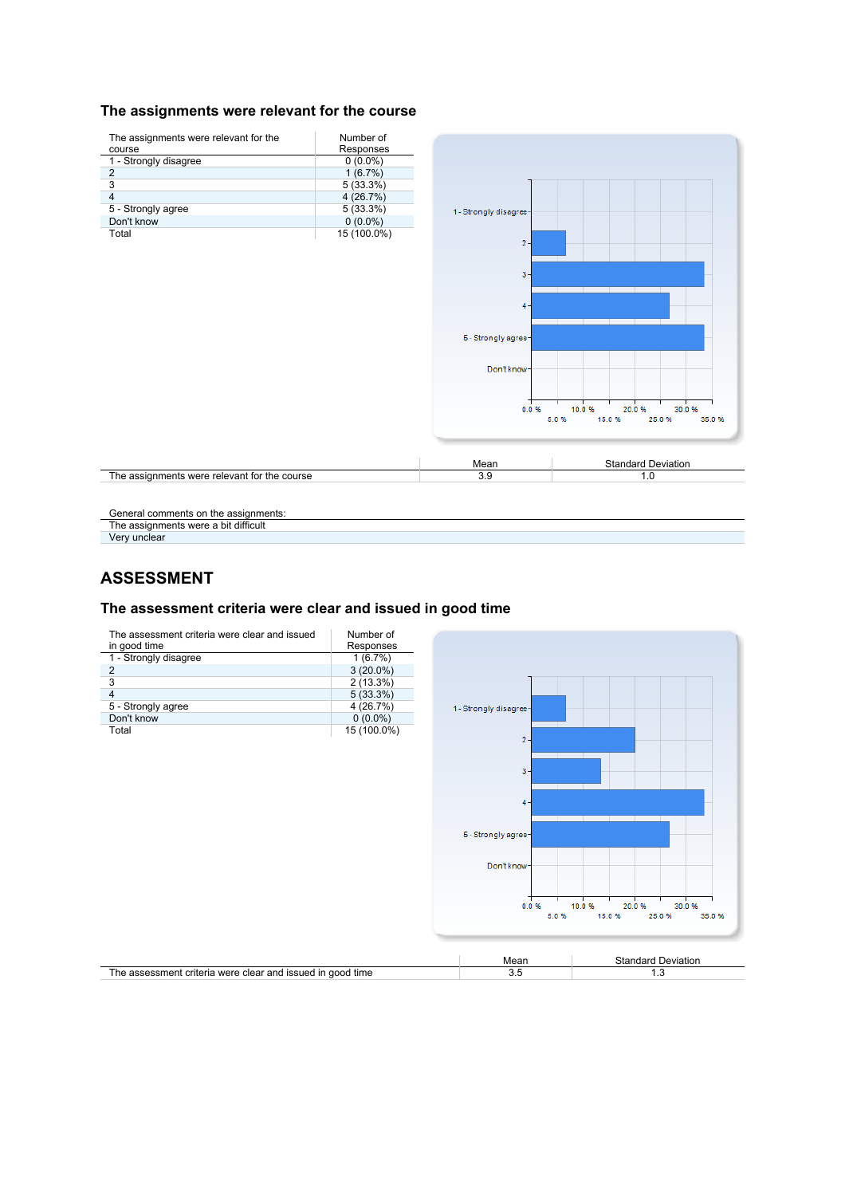#### The assignments were relevant for the course



General comments on the assignments:

The assignments were a bit difficult

Very unclear

### **ASSESSMENT**

#### **The assessment criteria were clear and issued in good time**



|                                                            | Mear | Standard<br>Deviation |
|------------------------------------------------------------|------|-----------------------|
| The assessment criteria were clear and issued in good time | ◡.   | .                     |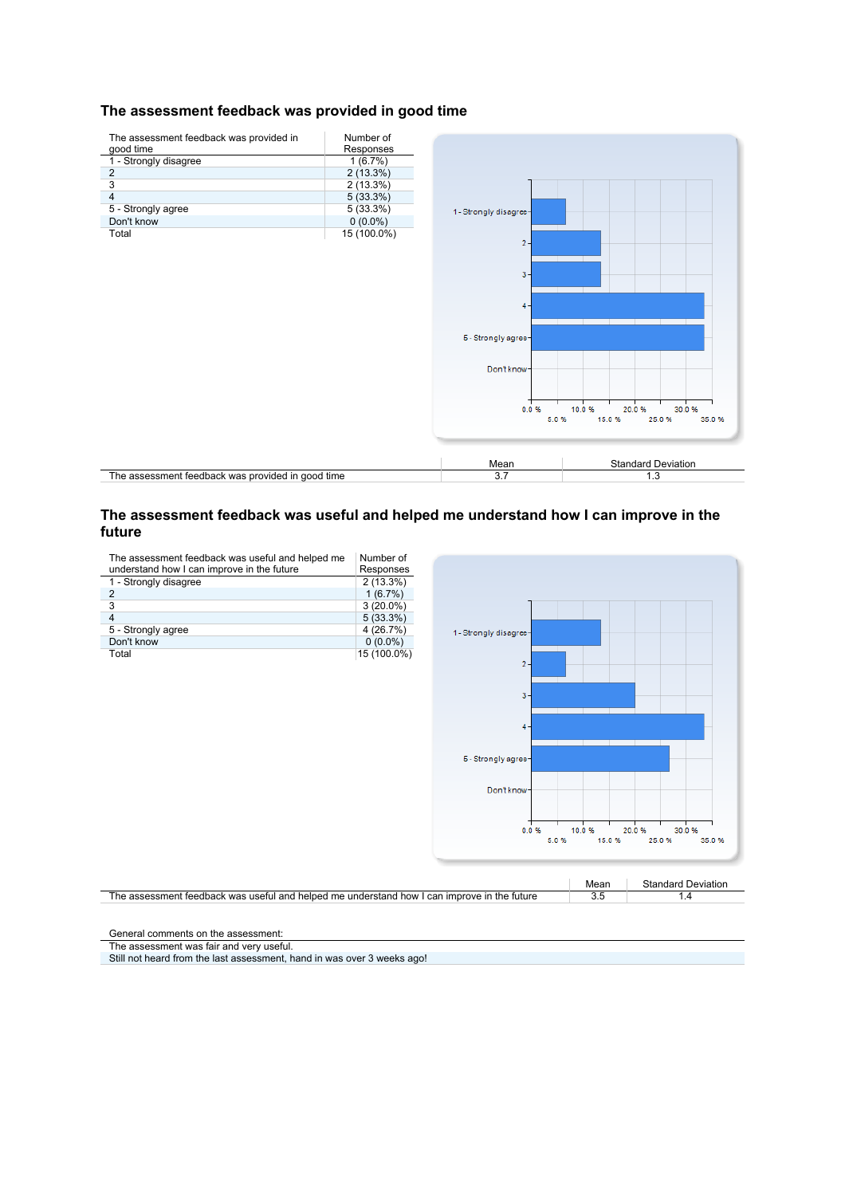#### **The assessment feedback was provided in good time**



#### **The assessment feedback was useful and helped me understand how I can improve in the future**

The assessment feedback was useful and helped me understand how I can improve in the future Number of Responses

| 1 - Strongly disagree | $2(13.3\%)$ |
|-----------------------|-------------|
|                       | 1(6.7%)     |
| 3                     | $3(20.0\%)$ |
|                       | $5(33.3\%)$ |
| 5 - Strongly agree    | 4 (26.7%)   |
| Don't know            | $0(0.0\%)$  |
| Total                 | 15 (100.0%) |





General comments on the assessment:

The assessment was fair and very useful.

Still not heard from the last assessment, hand in was over 3 weeks ago!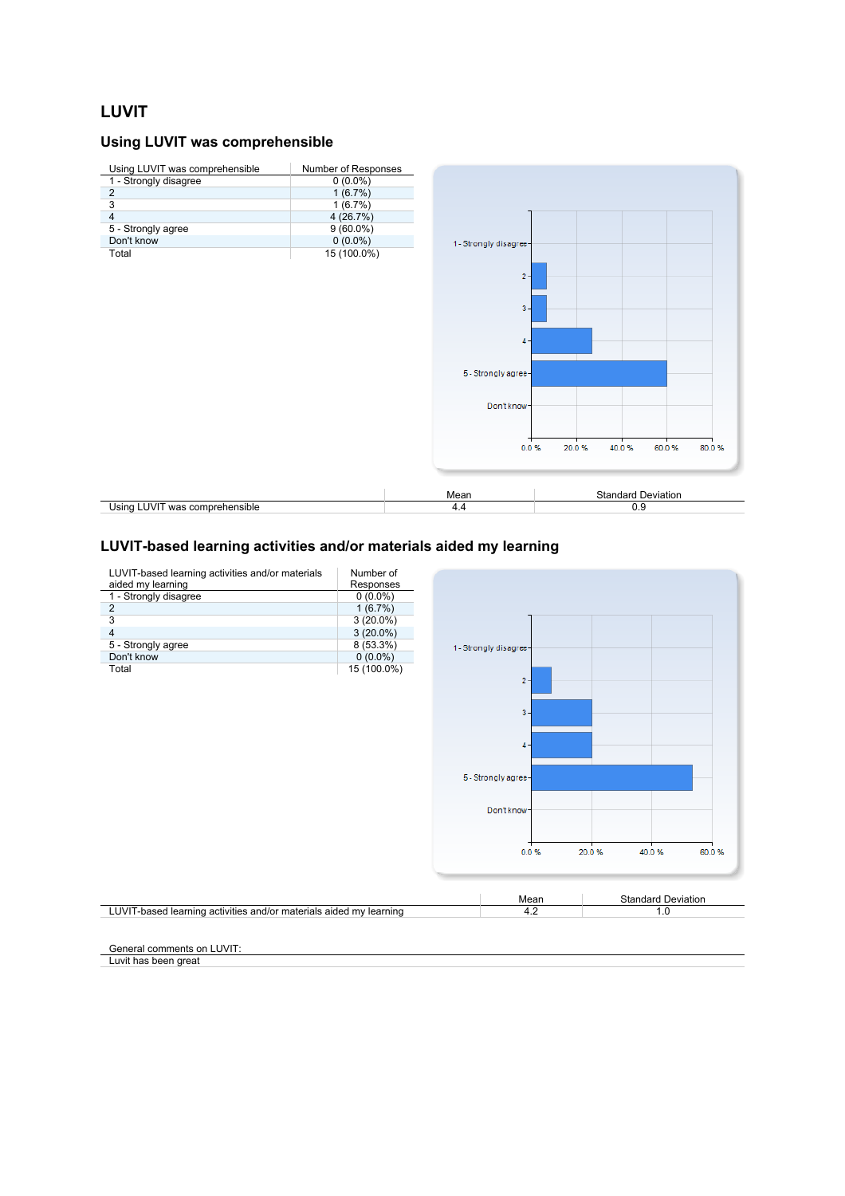### **LUVIT**

### **Using LUVIT was comprehensible**

| Using LUVIT was comprehensible | Number of Responses |                        |       |                           |                |
|--------------------------------|---------------------|------------------------|-------|---------------------------|----------------|
| 1 - Strongly disagree          | $0(0.0\%)$          |                        |       |                           |                |
| $\sqrt{2}$                     | 1(6.7%)             |                        |       |                           |                |
| 3                              | 1(6.7%)             |                        |       |                           |                |
| $\overline{4}$                 | 4(26.7%)            |                        |       |                           |                |
| 5 - Strongly agree             | $9(60.0\%)$         |                        |       |                           |                |
| Don't know                     | $0(0.0\%)$          | 1 - Strongly disagree- |       |                           |                |
| Total                          | 15 (100.0%)         |                        |       |                           |                |
|                                |                     |                        |       |                           |                |
|                                |                     | $2 -$                  |       |                           |                |
|                                |                     |                        |       |                           |                |
|                                |                     | $3 -$                  |       |                           |                |
|                                |                     |                        |       |                           |                |
|                                |                     |                        |       |                           |                |
|                                |                     | $4 -$                  |       |                           |                |
|                                |                     |                        |       |                           |                |
|                                |                     | 5 - Strongly agree-    |       |                           |                |
|                                |                     |                        |       |                           |                |
|                                |                     |                        |       |                           |                |
|                                |                     | Don't know-            |       |                           |                |
|                                |                     |                        |       |                           |                |
|                                |                     |                        |       |                           |                |
|                                |                     | 0.0%                   | 20.0% | 40.0%                     | 60.0%<br>80.0% |
|                                |                     |                        |       |                           |                |
|                                |                     |                        |       |                           |                |
|                                |                     |                        |       |                           |                |
|                                |                     | Mean                   |       | <b>Standard Deviation</b> |                |
| Using LUVIT was comprehensible |                     | 4.4                    |       | 0.9                       |                |
|                                |                     |                        |       |                           |                |

#### **LUVIT-based learning activities and/or materials aided my learning**



General comments on LUVIT:

Luvit has been great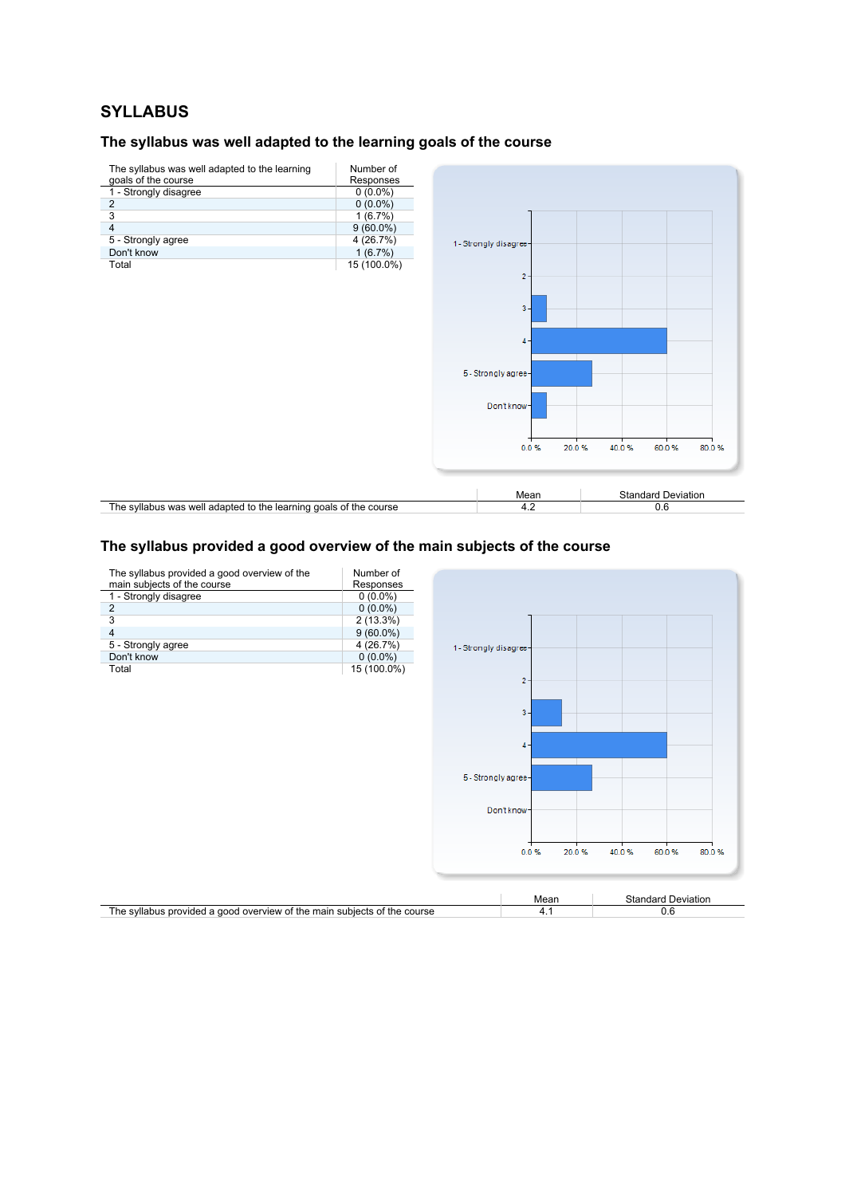## **SYLLABUS**

#### **The syllabus was well adapted to the learning goals of the course**



#### **The syllabus provided a good overview of the main subjects of the course**

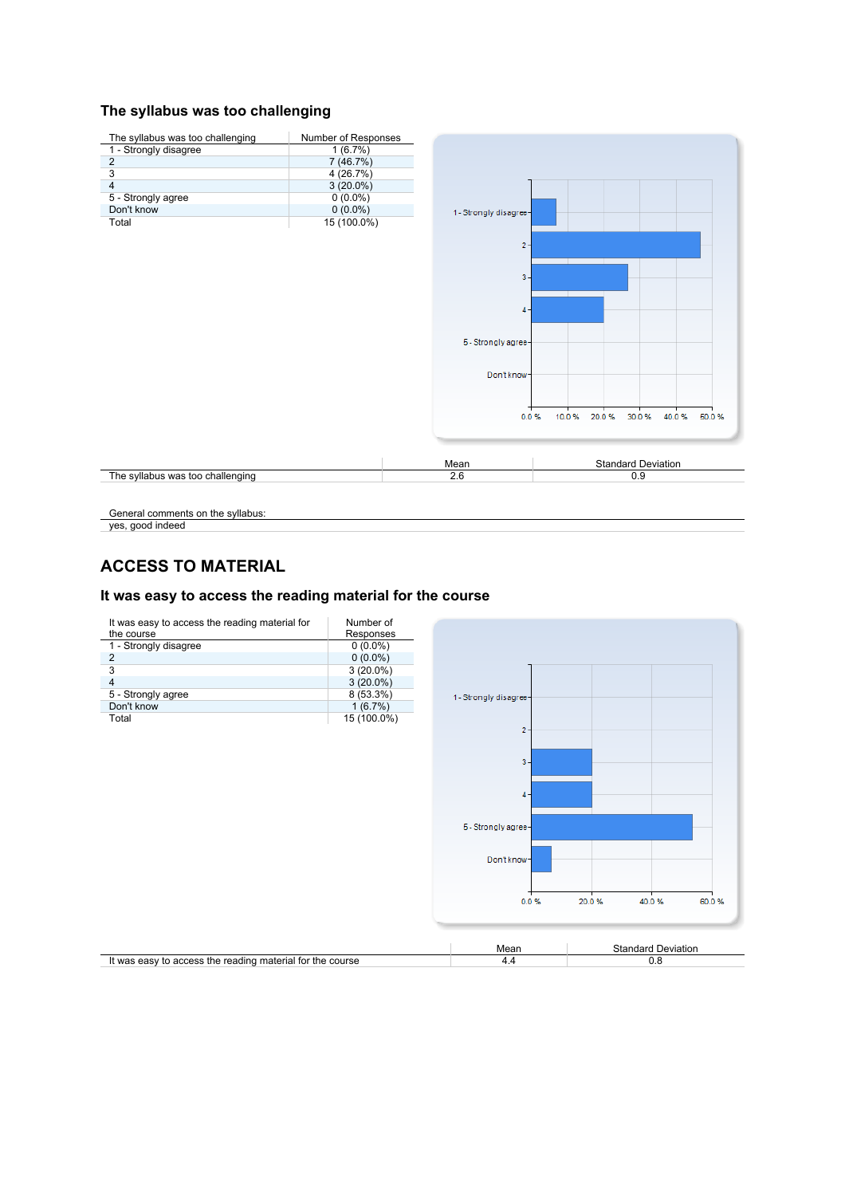#### **The syllabus was too challenging**



General comments on the syllabus:

yes, good indeed

### **ACCESS TO MATERIAL**

### It was easy to access the reading material for the course

| It was easy to access the reading material for<br>the course | Number of<br>Responses |                        |       |                           |       |
|--------------------------------------------------------------|------------------------|------------------------|-------|---------------------------|-------|
| 1 - Strongly disagree                                        | $0(0.0\%)$             |                        |       |                           |       |
| $\overline{\mathbf{c}}$                                      | $0(0.0\%)$             |                        |       |                           |       |
| 3                                                            | $3(20.0\%)$            |                        |       |                           |       |
| 4                                                            | $3(20.0\%)$            |                        |       |                           |       |
| 5 - Strongly agree                                           | 8 (53.3%)              | 1 - Strongly disagree- |       |                           |       |
| Don't know                                                   | 1(6.7%)                |                        |       |                           |       |
| Total                                                        | 15 (100.0%)            |                        |       |                           |       |
|                                                              |                        | $2 -$                  |       |                           |       |
|                                                              |                        | $3 -$                  |       |                           |       |
|                                                              |                        | $4 -$                  |       |                           |       |
|                                                              |                        | 5 - Strongly agree-    |       |                           |       |
|                                                              |                        | Don't know-            |       |                           |       |
|                                                              |                        | 0.0%                   | 20.0% | 40.0%                     | 60.0% |
|                                                              |                        | Mean                   |       | <b>Standard Deviation</b> |       |
| It was easy to access the reading material for the course    |                        | 4.4                    |       | 0.8                       |       |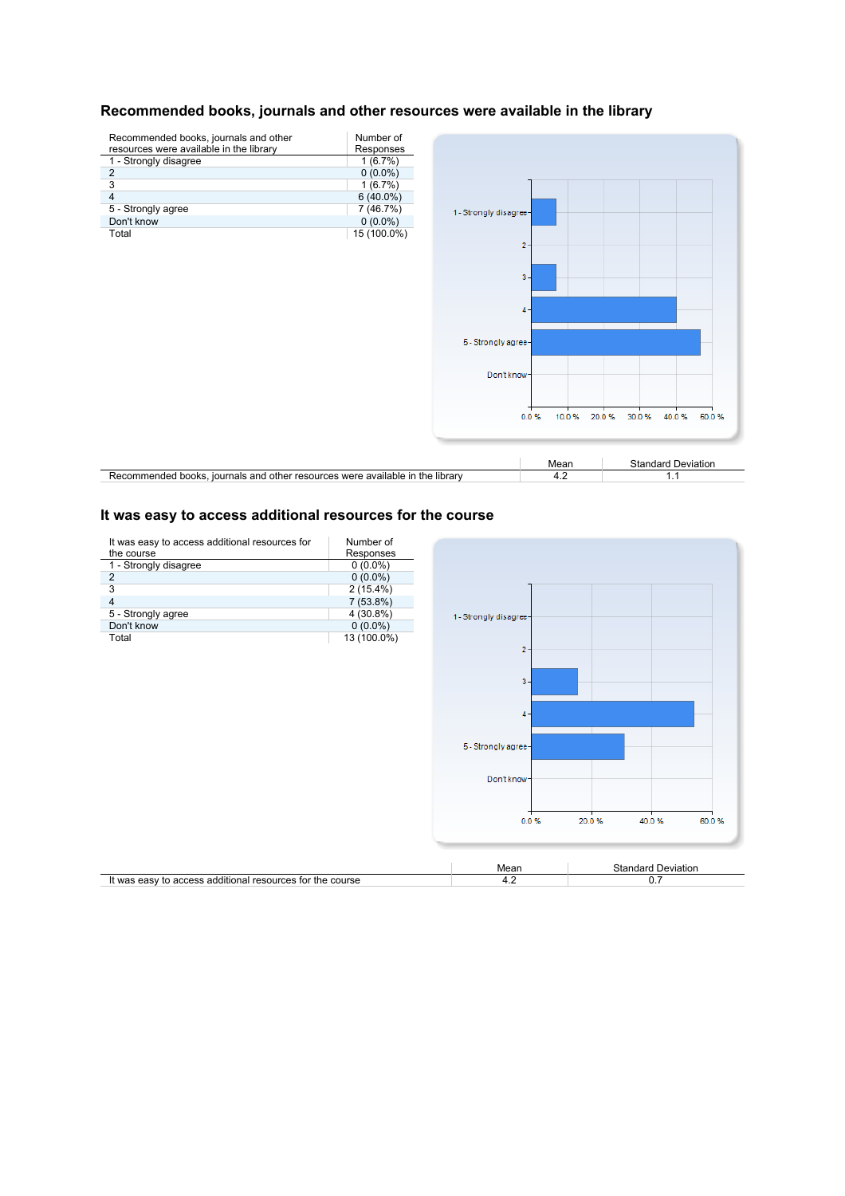

### **Recommended books, journals and other resources were available in the library**

#### **It was easy to access additional resources for the course**

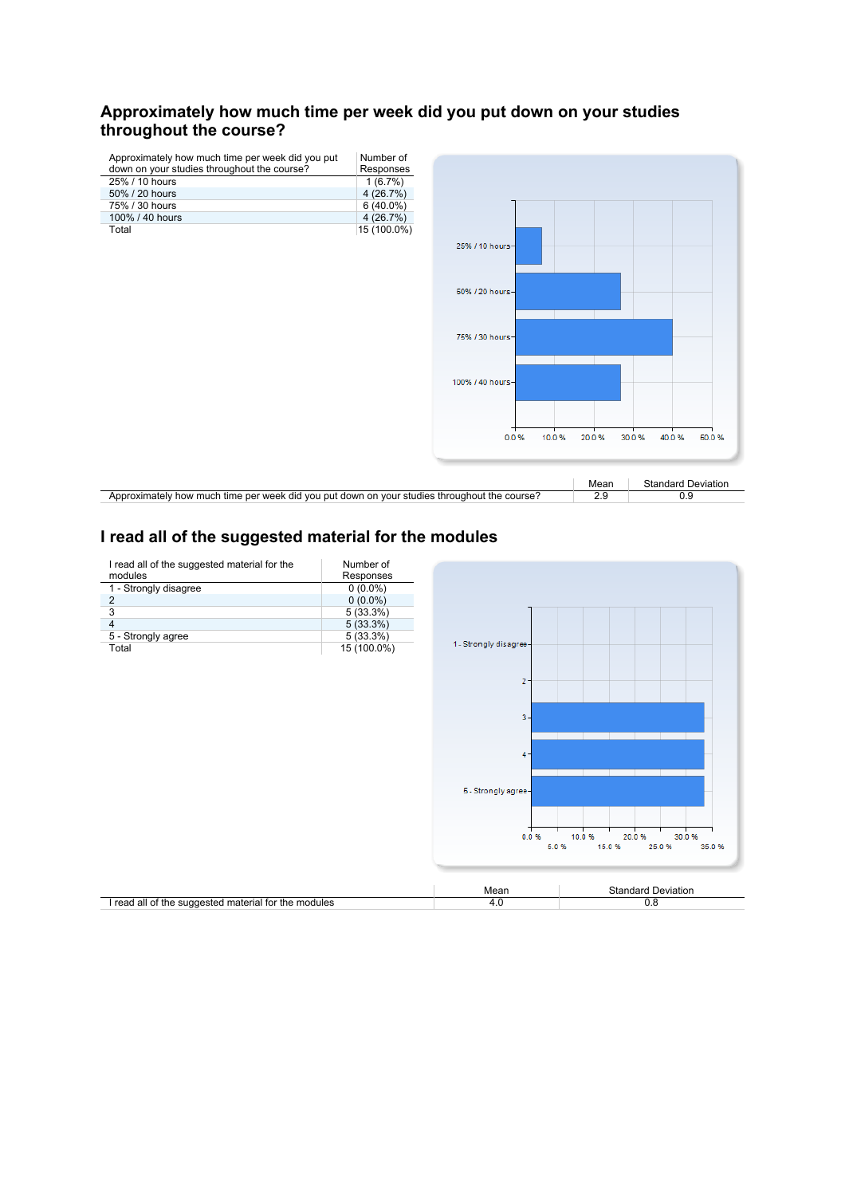### **Approximately how much time per week did you put down on your studies throughout the course?**

| Approximately how much time per week did you put<br>down on your studies throughout the course? | Number of<br>Responses |                  |             |                                  |
|-------------------------------------------------------------------------------------------------|------------------------|------------------|-------------|----------------------------------|
| 25% / 10 hours                                                                                  | 1(6.7%)                |                  |             |                                  |
| 50% / 20 hours                                                                                  | 4(26.7%)               |                  |             |                                  |
| 75% / 30 hours                                                                                  | $6(40.0\%)$            |                  |             |                                  |
| 100% / 40 hours                                                                                 | 4(26.7%)               |                  |             |                                  |
| Total                                                                                           | 15 (100.0%)            |                  |             |                                  |
|                                                                                                 |                        | 25% / 10 hours-  |             |                                  |
|                                                                                                 |                        | 50% / 20 hours-  |             |                                  |
|                                                                                                 |                        | 75% / 30 hours-  |             |                                  |
|                                                                                                 |                        | 100% / 40 hours- |             |                                  |
|                                                                                                 |                        | 10.0%<br>0.0%    | 20.0%       | 30.0%<br>40.0%<br>50.0%          |
| Approximately how much time per week did you put down on your studies throughout the course?    |                        |                  | Mean<br>2.9 | <b>Standard Deviation</b><br>0.9 |

# **I read all of the suggested material for the modules**

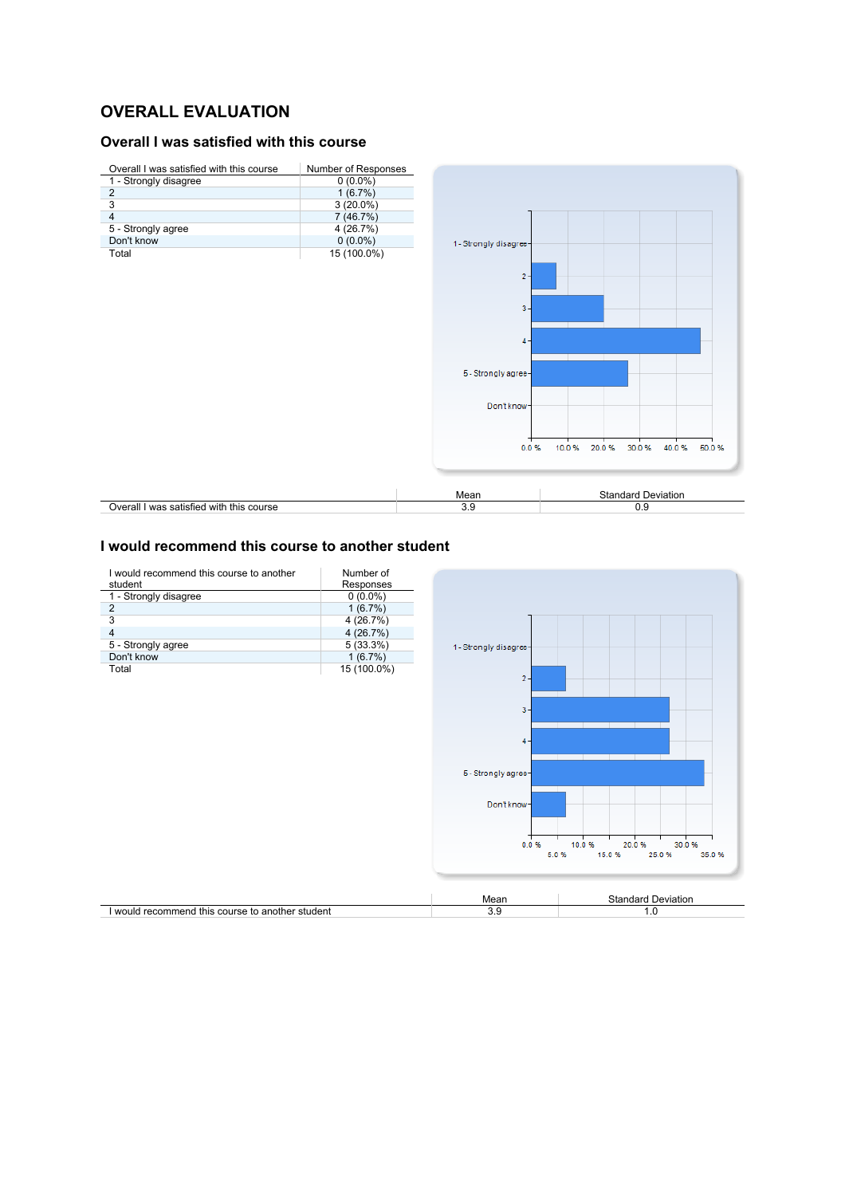## **OVERALL EVALUATION**

### **Overall I was satisfied with this course**



#### **I would recommend this course to another student**

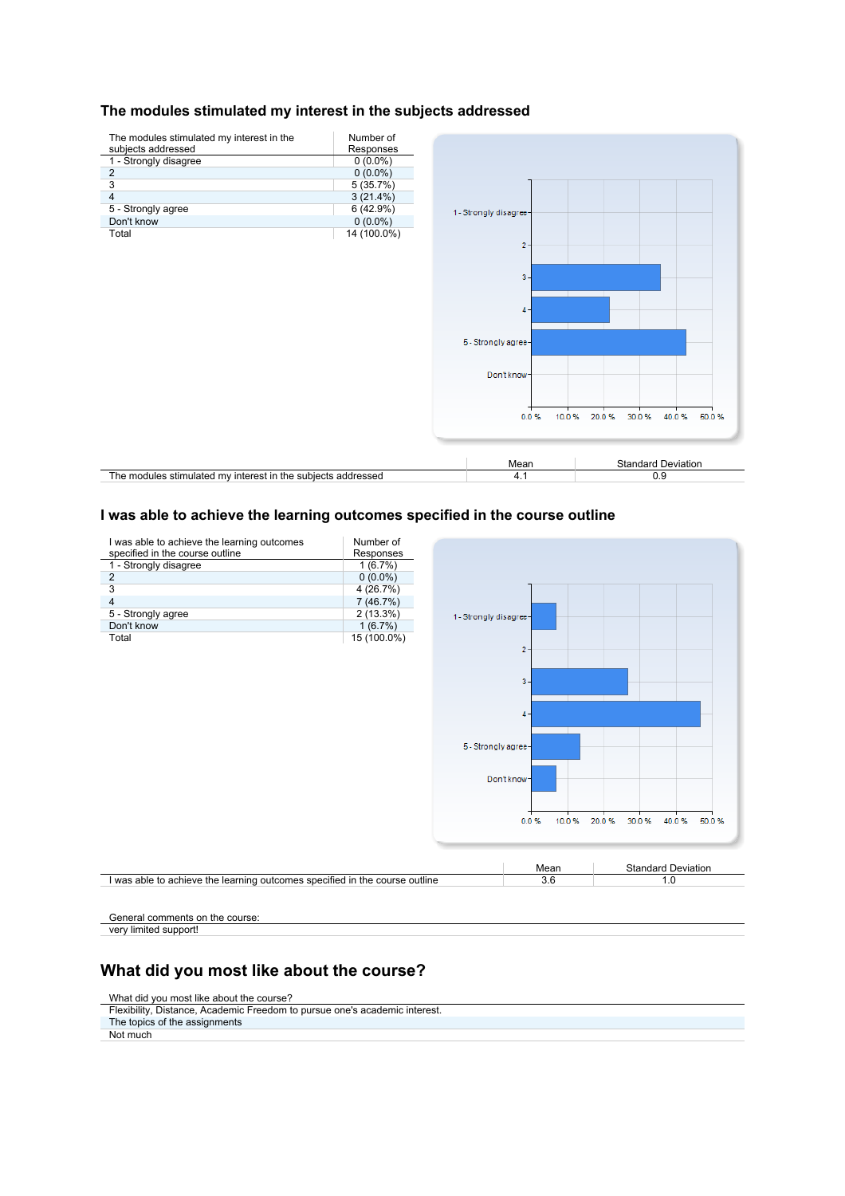#### **The modules stimulated my interest in the subjects addressed**



#### **I was able to achieve the learning outcomes specified in the course outline**



General comments on the course: very limited support!

### **What did you most like about the course?**

#### What did you most like about the course?

Flexibility, Distance, Academic Freedom to pursue one's academic interest. The topics of the assignments

Not much